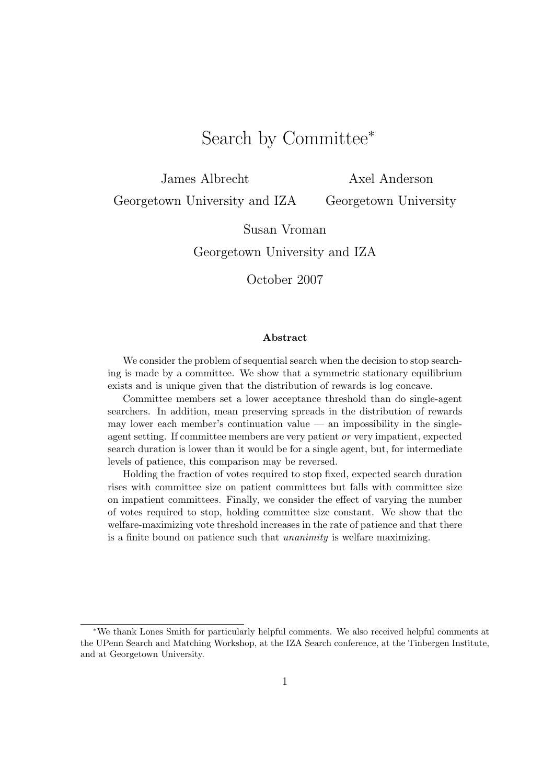# Search by Committee<sup>∗</sup>

James Albrecht

Axel Anderson

Georgetown University and IZA

Georgetown University

Susan Vroman

Georgetown University and IZA

October 2007

#### Abstract

We consider the problem of sequential search when the decision to stop searching is made by a committee. We show that a symmetric stationary equilibrium exists and is unique given that the distribution of rewards is log concave.

Committee members set a lower acceptance threshold than do single-agent searchers. In addition, mean preserving spreads in the distribution of rewards may lower each member's continuation value — an impossibility in the singleagent setting. If committee members are very patient *or* very impatient, expected search duration is lower than it would be for a single agent, but, for intermediate levels of patience, this comparison may be reversed.

Holding the fraction of votes required to stop fixed, expected search duration rises with committee size on patient committees but falls with committee size on impatient committees. Finally, we consider the effect of varying the number of votes required to stop, holding committee size constant. We show that the welfare-maximizing vote threshold increases in the rate of patience and that there is a finite bound on patience such that unanimity is welfare maximizing.

<sup>∗</sup>We thank Lones Smith for particularly helpful comments. We also received helpful comments at the UPenn Search and Matching Workshop, at the IZA Search conference, at the Tinbergen Institute, and at Georgetown University.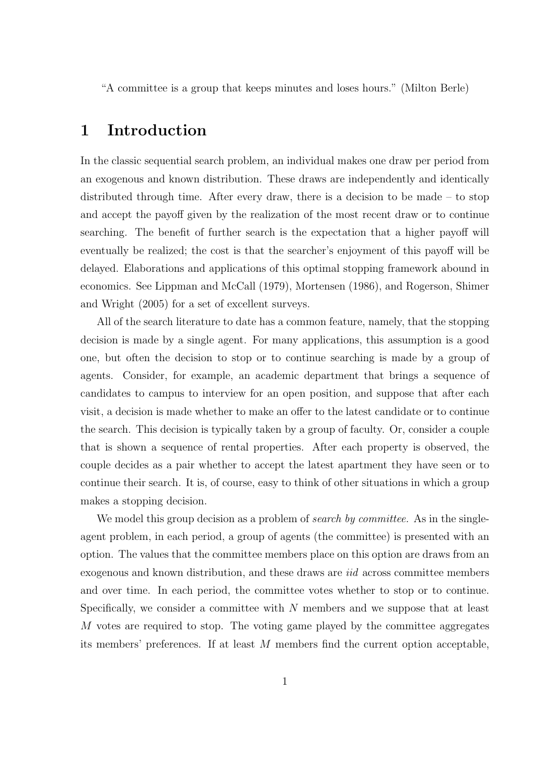"A committee is a group that keeps minutes and loses hours." (Milton Berle)

# 1 Introduction

In the classic sequential search problem, an individual makes one draw per period from an exogenous and known distribution. These draws are independently and identically distributed through time. After every draw, there is a decision to be made – to stop and accept the payoff given by the realization of the most recent draw or to continue searching. The benefit of further search is the expectation that a higher payoff will eventually be realized; the cost is that the searcher's enjoyment of this payoff will be delayed. Elaborations and applications of this optimal stopping framework abound in economics. See Lippman and McCall (1979), Mortensen (1986), and Rogerson, Shimer and Wright (2005) for a set of excellent surveys.

All of the search literature to date has a common feature, namely, that the stopping decision is made by a single agent. For many applications, this assumption is a good one, but often the decision to stop or to continue searching is made by a group of agents. Consider, for example, an academic department that brings a sequence of candidates to campus to interview for an open position, and suppose that after each visit, a decision is made whether to make an offer to the latest candidate or to continue the search. This decision is typically taken by a group of faculty. Or, consider a couple that is shown a sequence of rental properties. After each property is observed, the couple decides as a pair whether to accept the latest apartment they have seen or to continue their search. It is, of course, easy to think of other situations in which a group makes a stopping decision.

We model this group decision as a problem of *search by committee*. As in the singleagent problem, in each period, a group of agents (the committee) is presented with an option. The values that the committee members place on this option are draws from an exogenous and known distribution, and these draws are iid across committee members and over time. In each period, the committee votes whether to stop or to continue. Specifically, we consider a committee with N members and we suppose that at least M votes are required to stop. The voting game played by the committee aggregates its members' preferences. If at least M members find the current option acceptable,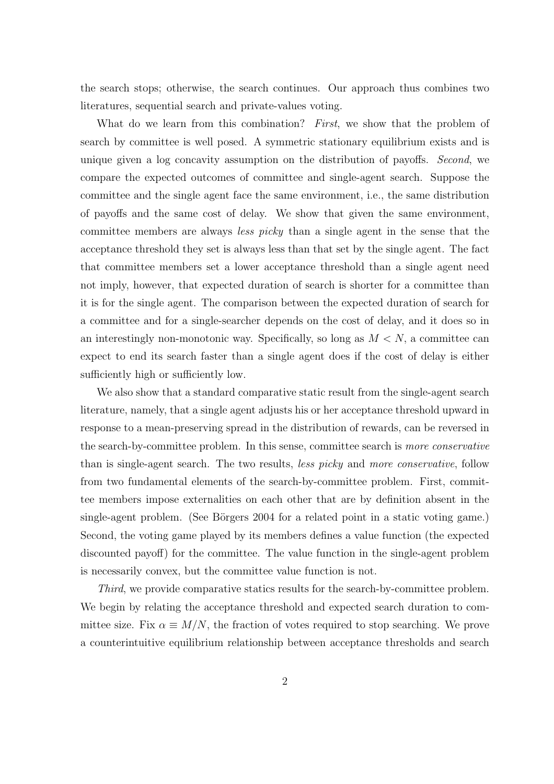the search stops; otherwise, the search continues. Our approach thus combines two literatures, sequential search and private-values voting.

What do we learn from this combination? First, we show that the problem of search by committee is well posed. A symmetric stationary equilibrium exists and is unique given a log concavity assumption on the distribution of payoffs. Second, we compare the expected outcomes of committee and single-agent search. Suppose the committee and the single agent face the same environment, i.e., the same distribution of payoffs and the same cost of delay. We show that given the same environment, committee members are always less picky than a single agent in the sense that the acceptance threshold they set is always less than that set by the single agent. The fact that committee members set a lower acceptance threshold than a single agent need not imply, however, that expected duration of search is shorter for a committee than it is for the single agent. The comparison between the expected duration of search for a committee and for a single-searcher depends on the cost of delay, and it does so in an interestingly non-monotonic way. Specifically, so long as  $M < N$ , a committee can expect to end its search faster than a single agent does if the cost of delay is either sufficiently high or sufficiently low.

We also show that a standard comparative static result from the single-agent search literature, namely, that a single agent adjusts his or her acceptance threshold upward in response to a mean-preserving spread in the distribution of rewards, can be reversed in the search-by-committee problem. In this sense, committee search is more conservative than is single-agent search. The two results, less picky and more conservative, follow from two fundamental elements of the search-by-committee problem. First, committee members impose externalities on each other that are by definition absent in the single-agent problem. (See Börgers 2004 for a related point in a static voting game.) Second, the voting game played by its members defines a value function (the expected discounted payoff) for the committee. The value function in the single-agent problem is necessarily convex, but the committee value function is not.

Third, we provide comparative statics results for the search-by-committee problem. We begin by relating the acceptance threshold and expected search duration to committee size. Fix  $\alpha \equiv M/N$ , the fraction of votes required to stop searching. We prove a counterintuitive equilibrium relationship between acceptance thresholds and search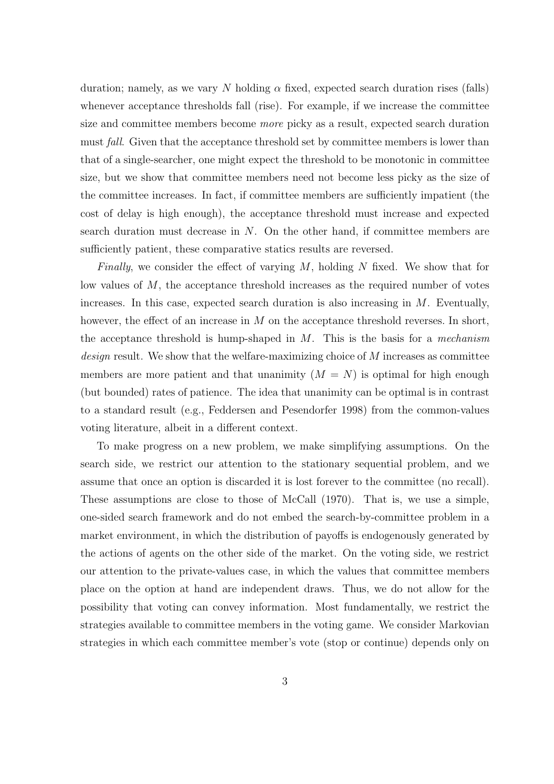duration; namely, as we vary N holding  $\alpha$  fixed, expected search duration rises (falls) whenever acceptance thresholds fall (rise). For example, if we increase the committee size and committee members become more picky as a result, expected search duration must fall. Given that the acceptance threshold set by committee members is lower than that of a single-searcher, one might expect the threshold to be monotonic in committee size, but we show that committee members need not become less picky as the size of the committee increases. In fact, if committee members are sufficiently impatient (the cost of delay is high enough), the acceptance threshold must increase and expected search duration must decrease in N. On the other hand, if committee members are sufficiently patient, these comparative statics results are reversed.

Finally, we consider the effect of varying  $M$ , holding  $N$  fixed. We show that for low values of M, the acceptance threshold increases as the required number of votes increases. In this case, expected search duration is also increasing in  $M$ . Eventually, however, the effect of an increase in M on the acceptance threshold reverses. In short, the acceptance threshold is hump-shaped in  $M$ . This is the basis for a *mechanism* design result. We show that the welfare-maximizing choice of M increases as committee members are more patient and that unanimity  $(M = N)$  is optimal for high enough (but bounded) rates of patience. The idea that unanimity can be optimal is in contrast to a standard result (e.g., Feddersen and Pesendorfer 1998) from the common-values voting literature, albeit in a different context.

To make progress on a new problem, we make simplifying assumptions. On the search side, we restrict our attention to the stationary sequential problem, and we assume that once an option is discarded it is lost forever to the committee (no recall). These assumptions are close to those of McCall (1970). That is, we use a simple, one-sided search framework and do not embed the search-by-committee problem in a market environment, in which the distribution of payoffs is endogenously generated by the actions of agents on the other side of the market. On the voting side, we restrict our attention to the private-values case, in which the values that committee members place on the option at hand are independent draws. Thus, we do not allow for the possibility that voting can convey information. Most fundamentally, we restrict the strategies available to committee members in the voting game. We consider Markovian strategies in which each committee member's vote (stop or continue) depends only on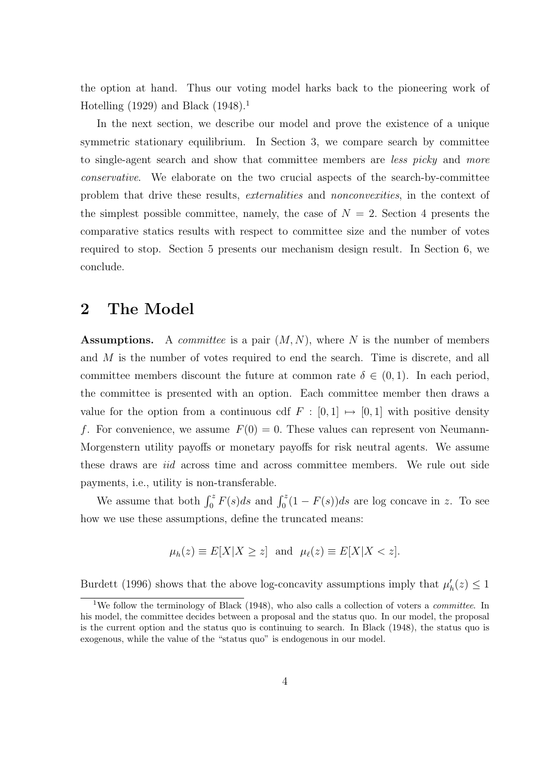the option at hand. Thus our voting model harks back to the pioneering work of Hotelling  $(1929)$  and Black  $(1948).<sup>1</sup>$ 

In the next section, we describe our model and prove the existence of a unique symmetric stationary equilibrium. In Section 3, we compare search by committee to single-agent search and show that committee members are less picky and more conservative. We elaborate on the two crucial aspects of the search-by-committee problem that drive these results, externalities and nonconvexities, in the context of the simplest possible committee, namely, the case of  $N = 2$ . Section 4 presents the comparative statics results with respect to committee size and the number of votes required to stop. Section 5 presents our mechanism design result. In Section 6, we conclude.

# 2 The Model

**Assumptions.** A *committee* is a pair  $(M, N)$ , where N is the number of members and M is the number of votes required to end the search. Time is discrete, and all committee members discount the future at common rate  $\delta \in (0,1)$ . In each period, the committee is presented with an option. Each committee member then draws a value for the option from a continuous cdf  $F : [0, 1] \mapsto [0, 1]$  with positive density f. For convenience, we assume  $F(0) = 0$ . These values can represent von Neumann-Morgenstern utility payoffs or monetary payoffs for risk neutral agents. We assume these draws are iid across time and across committee members. We rule out side payments, i.e., utility is non-transferable.

We assume that both  $\int_0^z F(s)ds$  and  $\int_0^z (1 - F(s))ds$  are log concave in z. To see how we use these assumptions, define the truncated means:

$$
\mu_h(z) \equiv E[X|X \geq z]
$$
 and  $\mu_{\ell}(z) \equiv E[X|X < z].$ 

Burdett (1996) shows that the above log-concavity assumptions imply that  $\mu'_h(z) \leq 1$ 

<sup>&</sup>lt;sup>1</sup>We follow the terminology of Black (1948), who also calls a collection of voters a *committee*. In his model, the committee decides between a proposal and the status quo. In our model, the proposal is the current option and the status quo is continuing to search. In Black (1948), the status quo is exogenous, while the value of the "status quo" is endogenous in our model.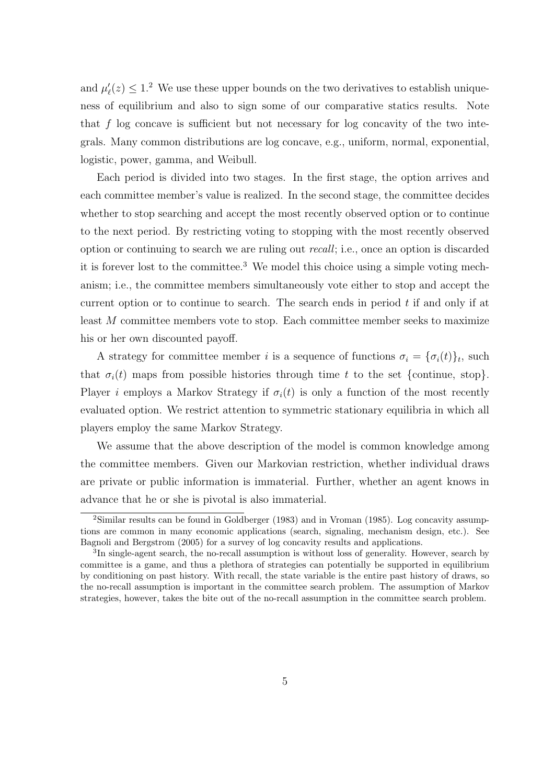and  $\mu'_\ell(z) \leq 1$ .<sup>2</sup> We use these upper bounds on the two derivatives to establish uniqueness of equilibrium and also to sign some of our comparative statics results. Note that f log concave is sufficient but not necessary for log concavity of the two integrals. Many common distributions are log concave, e.g., uniform, normal, exponential, logistic, power, gamma, and Weibull.

Each period is divided into two stages. In the first stage, the option arrives and each committee member's value is realized. In the second stage, the committee decides whether to stop searching and accept the most recently observed option or to continue to the next period. By restricting voting to stopping with the most recently observed option or continuing to search we are ruling out recall; i.e., once an option is discarded it is forever lost to the committee.<sup>3</sup> We model this choice using a simple voting mechanism; i.e., the committee members simultaneously vote either to stop and accept the current option or to continue to search. The search ends in period  $t$  if and only if at least M committee members vote to stop. Each committee member seeks to maximize his or her own discounted payoff.

A strategy for committee member i is a sequence of functions  $\sigma_i = {\{\sigma_i(t)\}}_t$ , such that  $\sigma_i(t)$  maps from possible histories through time t to the set {continue, stop}. Player *i* employs a Markov Strategy if  $\sigma_i(t)$  is only a function of the most recently evaluated option. We restrict attention to symmetric stationary equilibria in which all players employ the same Markov Strategy.

We assume that the above description of the model is common knowledge among the committee members. Given our Markovian restriction, whether individual draws are private or public information is immaterial. Further, whether an agent knows in advance that he or she is pivotal is also immaterial.

<sup>2</sup>Similar results can be found in Goldberger (1983) and in Vroman (1985). Log concavity assumptions are common in many economic applications (search, signaling, mechanism design, etc.). See Bagnoli and Bergstrom (2005) for a survey of log concavity results and applications.

<sup>&</sup>lt;sup>3</sup>In single-agent search, the no-recall assumption is without loss of generality. However, search by committee is a game, and thus a plethora of strategies can potentially be supported in equilibrium by conditioning on past history. With recall, the state variable is the entire past history of draws, so the no-recall assumption is important in the committee search problem. The assumption of Markov strategies, however, takes the bite out of the no-recall assumption in the committee search problem.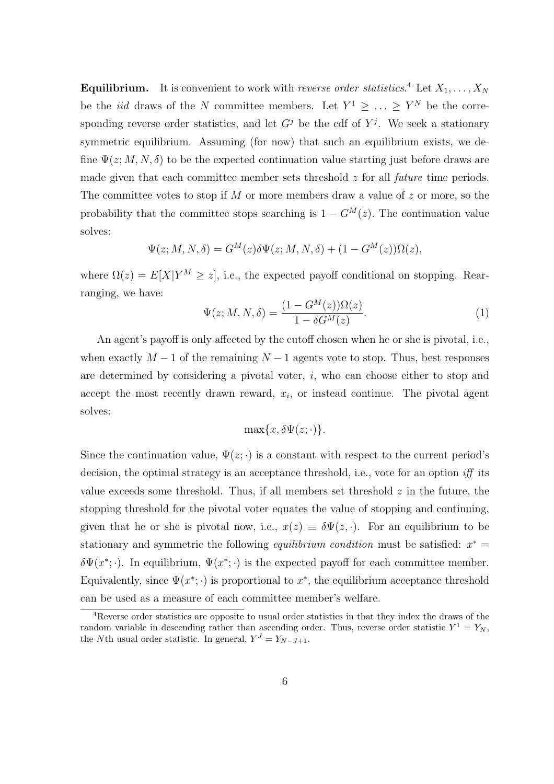**Equilibrium.** It is convenient to work with *reverse order statistics*.<sup>4</sup> Let  $X_1, \ldots, X_N$ be the *iid* draws of the N committee members. Let  $Y^1 \geq \ldots \geq Y^N$  be the corresponding reverse order statistics, and let  $G^j$  be the cdf of  $Y^j$ . We seek a stationary symmetric equilibrium. Assuming (for now) that such an equilibrium exists, we define  $\Psi(z; M, N, \delta)$  to be the expected continuation value starting just before draws are made given that each committee member sets threshold  $z$  for all *future* time periods. The committee votes to stop if  $M$  or more members draw a value of  $z$  or more, so the probability that the committee stops searching is  $1 - G<sup>M</sup>(z)$ . The continuation value solves:

$$
\Psi(z; M, N, \delta) = G^M(z) \delta \Psi(z; M, N, \delta) + (1 - G^M(z)) \Omega(z),
$$

where  $\Omega(z) = E[X|Y^M \geq z]$ , i.e., the expected payoff conditional on stopping. Rearranging, we have:

$$
\Psi(z;M,N,\delta) = \frac{(1 - G^M(z))\Omega(z)}{1 - \delta G^M(z)}.
$$
\n(1)

An agent's payoff is only affected by the cutoff chosen when he or she is pivotal, i.e., when exactly  $M-1$  of the remaining  $N-1$  agents vote to stop. Thus, best responses are determined by considering a pivotal voter, i, who can choose either to stop and accept the most recently drawn reward,  $x_i$ , or instead continue. The pivotal agent solves:

$$
\max\{x,\delta\Psi(z;\cdot)\}.
$$

Since the continuation value,  $\Psi(z; \cdot)$  is a constant with respect to the current period's decision, the optimal strategy is an acceptance threshold, i.e., vote for an option *iff* its value exceeds some threshold. Thus, if all members set threshold  $z$  in the future, the stopping threshold for the pivotal voter equates the value of stopping and continuing, given that he or she is pivotal now, i.e.,  $x(z) \equiv \delta \Psi(z, \cdot)$ . For an equilibrium to be stationary and symmetric the following *equilibrium condition* must be satisfied:  $x^* =$  $\delta\Psi(x^*;\cdot)$ . In equilibrium,  $\Psi(x^*;\cdot)$  is the expected payoff for each committee member. Equivalently, since  $\Psi(x^*)$  is proportional to  $x^*$ , the equilibrium acceptance threshold can be used as a measure of each committee member's welfare.

<sup>4</sup>Reverse order statistics are opposite to usual order statistics in that they index the draws of the random variable in descending rather than ascending order. Thus, reverse order statistic  $Y^1 = Y_N$ , the Nth usual order statistic. In general,  $Y^J = Y_{N-J+1}$ .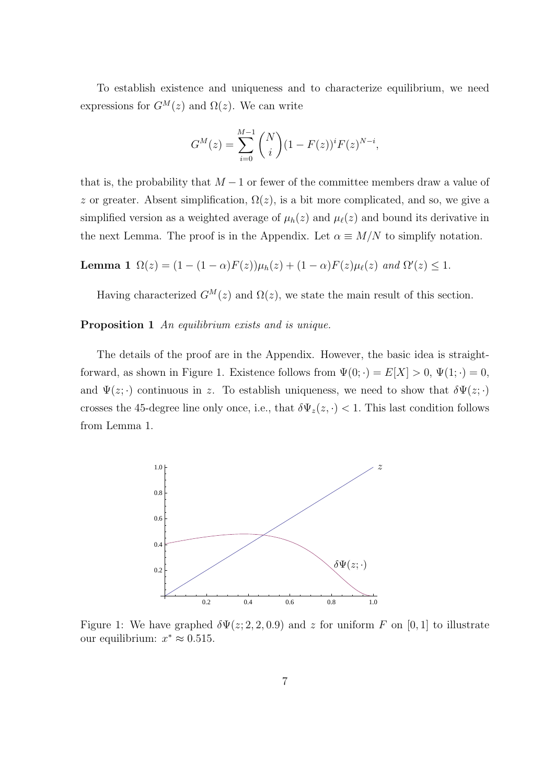To establish existence and uniqueness and to characterize equilibrium, we need expressions for  $G^M(z)$  and  $\Omega(z)$ . We can write

$$
G^{M}(z) = \sum_{i=0}^{M-1} {N \choose i} (1 - F(z))^{i} F(z)^{N-i},
$$

that is, the probability that  $M-1$  or fewer of the committee members draw a value of z or greater. Absent simplification,  $\Omega(z)$ , is a bit more complicated, and so, we give a simplified version as a weighted average of  $\mu_h(z)$  and  $\mu_\ell(z)$  and bound its derivative in the next Lemma. The proof is in the Appendix. Let  $\alpha \equiv M/N$  to simplify notation.

**Lemma 1** 
$$
\Omega(z) = (1 - (1 - \alpha)F(z))\mu_h(z) + (1 - \alpha)F(z)\mu_{\ell}(z)
$$
 and  $\Omega'(z) \le 1$ .

Having characterized  $G^M(z)$  and  $\Omega(z)$ , we state the main result of this section.

#### Proposition 1 An equilibrium exists and is unique.

The details of the proof are in the Appendix. However, the basic idea is straightforward, as shown in Figure 1. Existence follows from  $\Psi(0; \cdot) = E[X] > 0$ ,  $\Psi(1; \cdot) = 0$ , and  $\Psi(z; \cdot)$  continuous in z. To establish uniqueness, we need to show that  $\delta \Psi(z; \cdot)$ crosses the 45-degree line only once, i.e., that  $\delta \Psi_z(z, \cdot) < 1$ . This last condition follows from Lemma 1.



Figure 1: We have graphed  $\delta \Psi(z; 2, 2, 0.9)$  and z for uniform F on [0, 1] to illustrate our equilibrium:  $x^* \approx 0.515$ .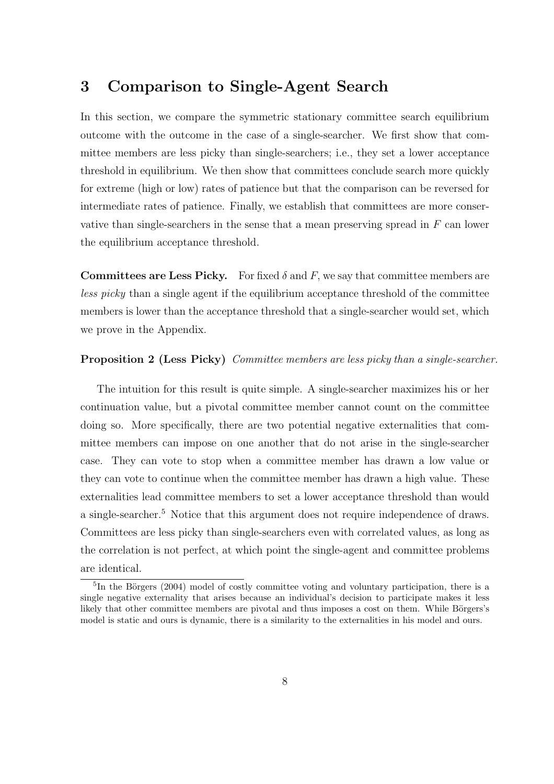# 3 Comparison to Single-Agent Search

In this section, we compare the symmetric stationary committee search equilibrium outcome with the outcome in the case of a single-searcher. We first show that committee members are less picky than single-searchers; i.e., they set a lower acceptance threshold in equilibrium. We then show that committees conclude search more quickly for extreme (high or low) rates of patience but that the comparison can be reversed for intermediate rates of patience. Finally, we establish that committees are more conservative than single-searchers in the sense that a mean preserving spread in  $F$  can lower the equilibrium acceptance threshold.

**Committees are Less Picky.** For fixed  $\delta$  and F, we say that committee members are less picky than a single agent if the equilibrium acceptance threshold of the committee members is lower than the acceptance threshold that a single-searcher would set, which we prove in the Appendix.

#### Proposition 2 (Less Picky) Committee members are less picky than a single-searcher.

The intuition for this result is quite simple. A single-searcher maximizes his or her continuation value, but a pivotal committee member cannot count on the committee doing so. More specifically, there are two potential negative externalities that committee members can impose on one another that do not arise in the single-searcher case. They can vote to stop when a committee member has drawn a low value or they can vote to continue when the committee member has drawn a high value. These externalities lead committee members to set a lower acceptance threshold than would a single-searcher.<sup>5</sup> Notice that this argument does not require independence of draws. Committees are less picky than single-searchers even with correlated values, as long as the correlation is not perfect, at which point the single-agent and committee problems are identical.

<sup>&</sup>lt;sup>5</sup>In the Börgers (2004) model of costly committee voting and voluntary participation, there is a single negative externality that arises because an individual's decision to participate makes it less likely that other committee members are pivotal and thus imposes a cost on them. While Börgers's model is static and ours is dynamic, there is a similarity to the externalities in his model and ours.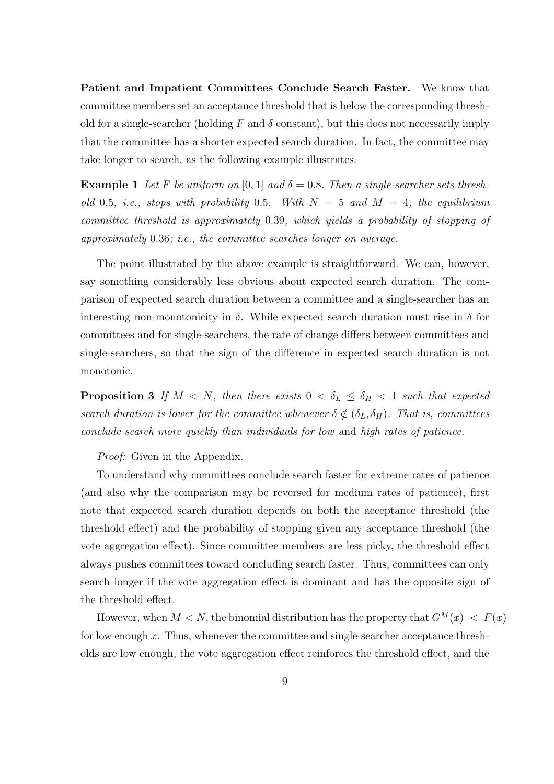Patient and Impatient Committees Conclude Search Faster. We know that committee members set an acceptance threshold that is below the corresponding threshold for a single-searcher (holding F and  $\delta$  constant), but this does not necessarily imply that the committee has a shorter expected search duration. In fact, the committee may take longer to search, as the following example illustrates.

**Example 1** Let F be uniform on [0, 1] and  $\delta = 0.8$ . Then a single-searcher sets threshold 0.5, *i.e.*, stops with probability 0.5. With  $N = 5$  and  $M = 4$ , the equilibrium committee threshold is approximately 0.39, which yields a probability of stopping of approximately 0.36; i.e., the committee searches longer on average.

The point illustrated by the above example is straightforward. We can, however, say something considerably less obvious about expected search duration. The comparison of expected search duration between a committee and a single-searcher has an interesting non-monotonicity in  $\delta$ . While expected search duration must rise in  $\delta$  for committees and for single-searchers, the rate of change differs between committees and single-searchers, so that the sign of the difference in expected search duration is not monotonic.

**Proposition 3** If  $M < N$ , then there exists  $0 < \delta_L \leq \delta_H < 1$  such that expected search duration is lower for the committee whenever  $\delta \notin (\delta_L, \delta_H)$ . That is, committees conclude search more quickly than individuals for low and high rates of patience.

Proof: Given in the Appendix.

To understand why committees conclude search faster for extreme rates of patience (and also why the comparison may be reversed for medium rates of patience), first note that expected search duration depends on both the acceptance threshold (the threshold effect) and the probability of stopping given any acceptance threshold (the vote aggregation effect). Since committee members are less picky, the threshold effect always pushes committees toward concluding search faster. Thus, committees can only search longer if the vote aggregation effect is dominant and has the opposite sign of the threshold effect.

However, when  $M < N$ , the binomial distribution has the property that  $G^M(x) < F(x)$ for low enough  $x$ . Thus, whenever the committee and single-searcher acceptance thresholds are low enough, the vote aggregation effect reinforces the threshold effect, and the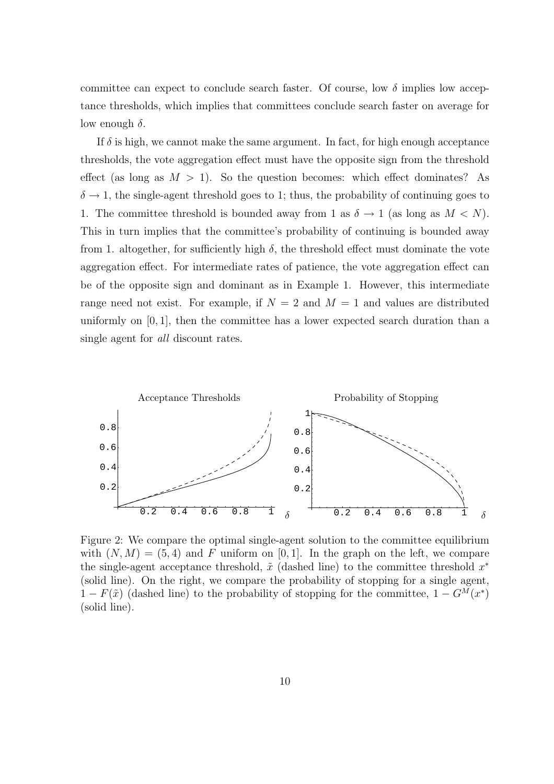committee can expect to conclude search faster. Of course, low  $\delta$  implies low acceptance thresholds, which implies that committees conclude search faster on average for low enough  $\delta$ .

If  $\delta$  is high, we cannot make the same argument. In fact, for high enough acceptance thresholds, the vote aggregation effect must have the opposite sign from the threshold effect (as long as  $M > 1$ ). So the question becomes: which effect dominates? As  $\delta \rightarrow 1$ , the single-agent threshold goes to 1; thus, the probability of continuing goes to 1. The committee threshold is bounded away from 1 as  $\delta \to 1$  (as long as  $M < N$ ). This in turn implies that the committee's probability of continuing is bounded away from 1. altogether, for sufficiently high  $\delta$ , the threshold effect must dominate the vote aggregation effect. For intermediate rates of patience, the vote aggregation effect can be of the opposite sign and dominant as in Example 1. However, this intermediate range need not exist. For example, if  $N = 2$  and  $M = 1$  and values are distributed uniformly on  $[0, 1]$ , then the committee has a lower expected search duration than a single agent for all discount rates.



Figure 2: We compare the optimal single-agent solution to the committee equilibrium with  $(N, M) = (5, 4)$  and F uniform on [0,1]. In the graph on the left, we compare the single-agent acceptance threshold,  $\tilde{x}$  (dashed line) to the committee threshold  $x^*$ (solid line). On the right, we compare the probability of stopping for a single agent,  $1-F(\tilde{x})$  (dashed line) to the probability of stopping for the committee,  $1-G<sup>M</sup>(x^*)$ (solid line).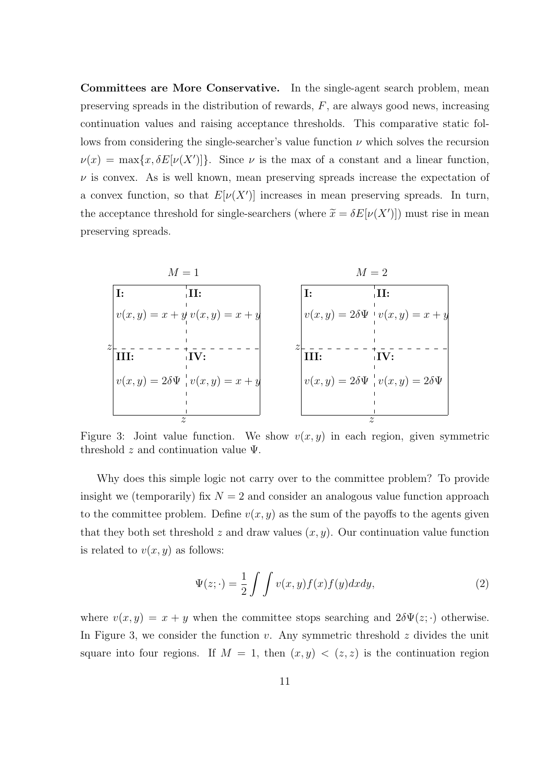Committees are More Conservative. In the single-agent search problem, mean preserving spreads in the distribution of rewards, F, are always good news, increasing continuation values and raising acceptance thresholds. This comparative static follows from considering the single-searcher's value function  $\nu$  which solves the recursion  $\nu(x) = \max\{x, \delta E[\nu(X')] \}.$  Since  $\nu$  is the max of a constant and a linear function,  $\nu$  is convex. As is well known, mean preserving spreads increase the expectation of a convex function, so that  $E[\nu(X')]$  increases in mean preserving spreads. In turn, the acceptance threshold for single-searchers (where  $\tilde{x} = \delta E[\nu(X')]$ ) must rise in mean preserving spreads.



Figure 3: Joint value function. We show  $v(x, y)$  in each region, given symmetric threshold z and continuation value  $\Psi$ .

Why does this simple logic not carry over to the committee problem? To provide insight we (temporarily) fix  $N = 2$  and consider an analogous value function approach to the committee problem. Define  $v(x, y)$  as the sum of the payoffs to the agents given that they both set threshold z and draw values  $(x, y)$ . Our continuation value function is related to  $v(x, y)$  as follows:

$$
\Psi(z; \cdot) = \frac{1}{2} \int \int v(x, y) f(x) f(y) dx dy, \tag{2}
$$

where  $v(x, y) = x + y$  when the committee stops searching and  $2\delta\Psi(z; \cdot)$  otherwise. In Figure 3, we consider the function  $v$ . Any symmetric threshold  $z$  divides the unit square into four regions. If  $M = 1$ , then  $(x, y) < (z, z)$  is the continuation region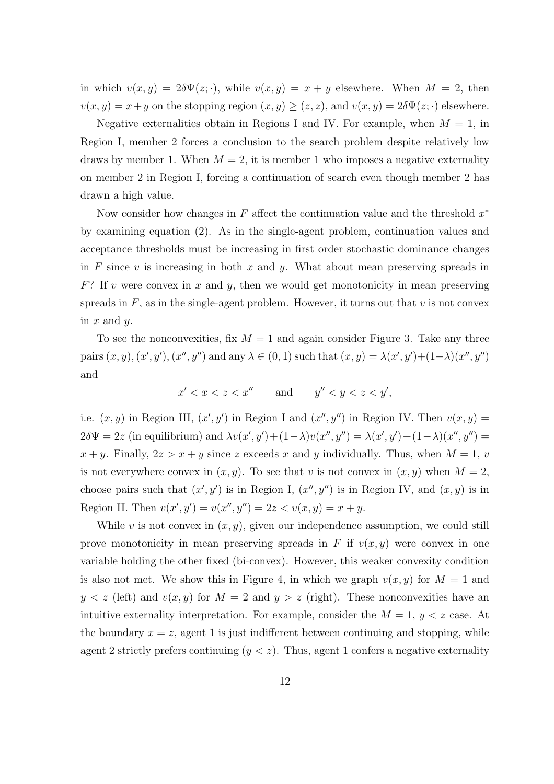in which  $v(x, y) = 2\delta \Psi(z; \cdot)$ , while  $v(x, y) = x + y$  elsewhere. When  $M = 2$ , then  $v(x, y) = x + y$  on the stopping region  $(x, y) \ge (z, z)$ , and  $v(x, y) = 2\delta \Psi(z; \cdot)$  elsewhere.

Negative externalities obtain in Regions I and IV. For example, when  $M = 1$ , in Region I, member 2 forces a conclusion to the search problem despite relatively low draws by member 1. When  $M = 2$ , it is member 1 who imposes a negative externality on member 2 in Region I, forcing a continuation of search even though member 2 has drawn a high value.

Now consider how changes in  $F$  affect the continuation value and the threshold  $x^*$ by examining equation (2). As in the single-agent problem, continuation values and acceptance thresholds must be increasing in first order stochastic dominance changes in  $F$  since  $v$  is increasing in both  $x$  and  $y$ . What about mean preserving spreads in F? If v were convex in x and y, then we would get monotonicity in mean preserving spreads in  $F$ , as in the single-agent problem. However, it turns out that  $v$  is not convex in  $x$  and  $y$ .

To see the nonconvexities, fix  $M = 1$  and again consider Figure 3. Take any three pairs  $(x, y), (x', y'), (x'', y'')$  and any  $\lambda \in (0, 1)$  such that  $(x, y) = \lambda(x', y') + (1 - \lambda)(x'', y'')$ and

$$
x' and 
$$
y''
$$
$$

i.e.  $(x, y)$  in Region III,  $(x', y')$  in Region I and  $(x'', y'')$  in Region IV. Then  $v(x, y)$  =  $2\delta\Psi = 2z$  (in equilibrium) and  $\lambda v(x', y') + (1 - \lambda)v(x'', y'') = \lambda(x', y') + (1 - \lambda)(x'', y'') =$  $x + y$ . Finally,  $2z > x + y$  since z exceeds x and y individually. Thus, when  $M = 1, v$ is not everywhere convex in  $(x, y)$ . To see that v is not convex in  $(x, y)$  when  $M = 2$ , choose pairs such that  $(x', y')$  is in Region I,  $(x'', y'')$  is in Region IV, and  $(x, y)$  is in Region II. Then  $v(x', y') = v(x'', y'') = 2z < v(x, y) = x + y$ .

While v is not convex in  $(x, y)$ , given our independence assumption, we could still prove monotonicity in mean preserving spreads in F if  $v(x, y)$  were convex in one variable holding the other fixed (bi-convex). However, this weaker convexity condition is also not met. We show this in Figure 4, in which we graph  $v(x, y)$  for  $M = 1$  and  $y < z$  (left) and  $v(x, y)$  for  $M = 2$  and  $y > z$  (right). These nonconvexities have an intuitive externality interpretation. For example, consider the  $M = 1$ ,  $y < z$  case. At the boundary  $x = z$ , agent 1 is just indifferent between continuing and stopping, while agent 2 strictly prefers continuing  $(y < z)$ . Thus, agent 1 confers a negative externality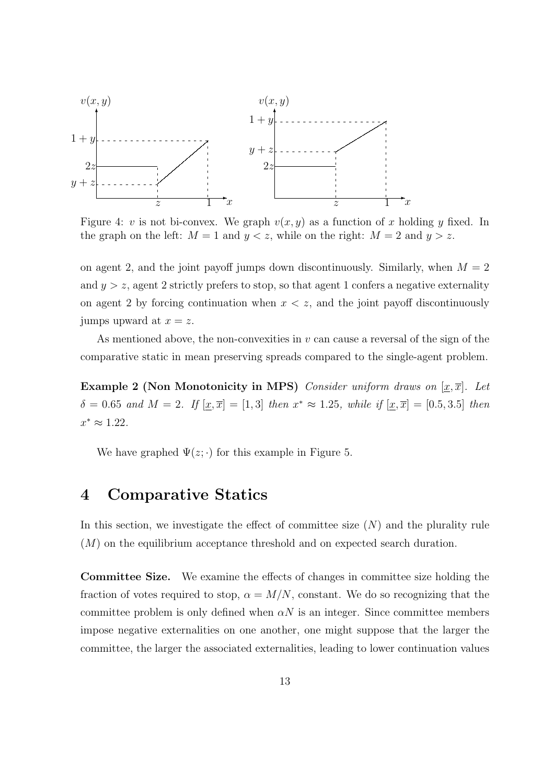

Figure 4: v is not bi-convex. We graph  $v(x, y)$  as a function of x holding y fixed. In the graph on the left:  $M = 1$  and  $y < z$ , while on the right:  $M = 2$  and  $y > z$ .

on agent 2, and the joint payoff jumps down discontinuously. Similarly, when  $M = 2$ and  $y > z$ , agent 2 strictly prefers to stop, so that agent 1 confers a negative externality on agent 2 by forcing continuation when  $x < z$ , and the joint payoff discontinuously jumps upward at  $x = z$ .

As mentioned above, the non-convexities in  $v$  can cause a reversal of the sign of the comparative static in mean preserving spreads compared to the single-agent problem.

**Example 2 (Non Monotonicity in MPS)** Consider uniform draws on  $[x, \overline{x}]$ . Let  $\delta = 0.65$  and  $M = 2$ . If  $[\underline{x}, \overline{x}] = [1, 3]$  then  $x^* \approx 1.25$ , while if  $[\underline{x}, \overline{x}] = [0.5, 3.5]$  then  $x^* \approx 1.22$ .

We have graphed  $\Psi(z; \cdot)$  for this example in Figure 5.

# 4 Comparative Statics

In this section, we investigate the effect of committee size  $(N)$  and the plurality rule (M) on the equilibrium acceptance threshold and on expected search duration.

Committee Size. We examine the effects of changes in committee size holding the fraction of votes required to stop,  $\alpha = M/N$ , constant. We do so recognizing that the committee problem is only defined when  $\alpha N$  is an integer. Since committee members impose negative externalities on one another, one might suppose that the larger the committee, the larger the associated externalities, leading to lower continuation values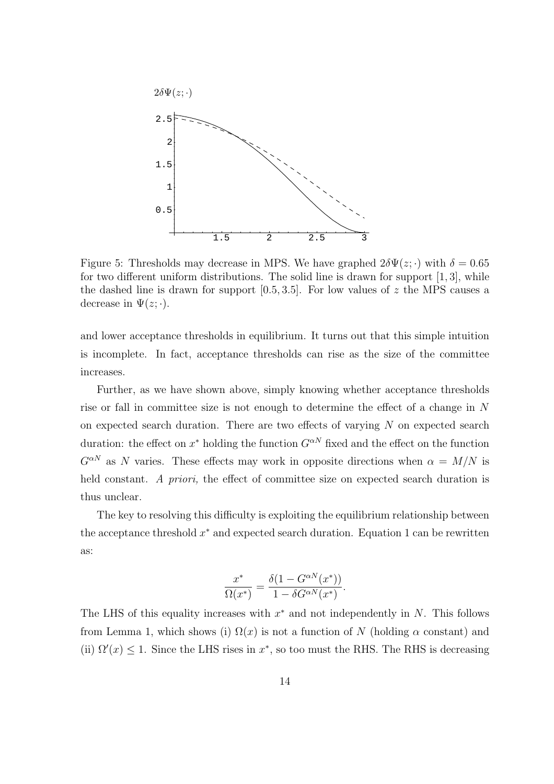

Figure 5: Thresholds may decrease in MPS. We have graphed  $2\delta\Psi(z;\cdot)$  with  $\delta = 0.65$ for two different uniform distributions. The solid line is drawn for support  $[1, 3]$ , while the dashed line is drawn for support  $[0.5, 3.5]$ . For low values of z the MPS causes a decrease in  $\Psi(z; \cdot)$ .

and lower acceptance thresholds in equilibrium. It turns out that this simple intuition is incomplete. In fact, acceptance thresholds can rise as the size of the committee increases.

Further, as we have shown above, simply knowing whether acceptance thresholds rise or fall in committee size is not enough to determine the effect of a change in N on expected search duration. There are two effects of varying  $N$  on expected search duration: the effect on  $x^*$  holding the function  $G^{\alpha N}$  fixed and the effect on the function  $G^{\alpha N}$  as N varies. These effects may work in opposite directions when  $\alpha = M/N$  is held constant. A priori, the effect of committee size on expected search duration is thus unclear.

The key to resolving this difficulty is exploiting the equilibrium relationship between the acceptance threshold  $x^*$  and expected search duration. Equation 1 can be rewritten as:

$$
\frac{x^*}{\Omega(x^*)} = \frac{\delta(1 - G^{\alpha N}(x^*))}{1 - \delta G^{\alpha N}(x^*)}.
$$

The LHS of this equality increases with  $x^*$  and not independently in N. This follows from Lemma 1, which shows (i)  $\Omega(x)$  is not a function of N (holding  $\alpha$  constant) and (ii)  $\Omega'(x) \leq 1$ . Since the LHS rises in  $x^*$ , so too must the RHS. The RHS is decreasing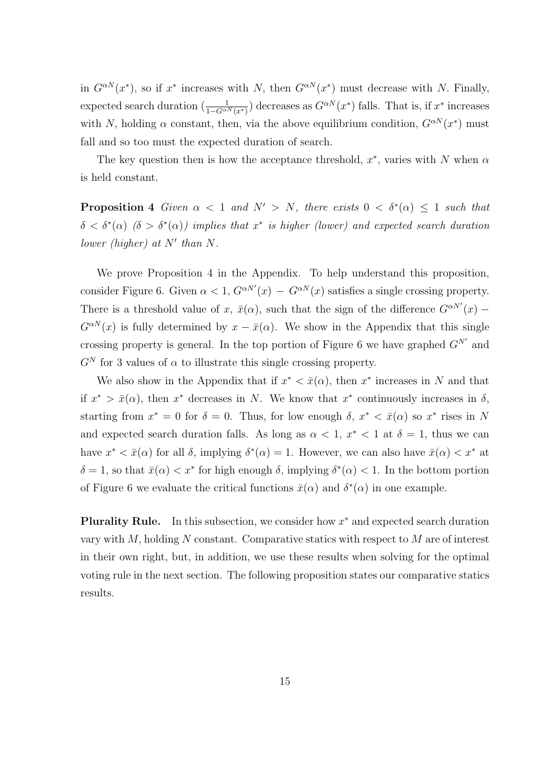in  $G^{\alpha N}(x^*)$ , so if  $x^*$  increases with N, then  $G^{\alpha N}(x^*)$  must decrease with N. Finally, expected search duration  $(\frac{1}{1-G^{\alpha N}(x^*)})$  decreases as  $G^{\alpha N}(x^*)$  falls. That is, if  $x^*$  increases with N, holding  $\alpha$  constant, then, via the above equilibrium condition,  $G^{\alpha N}(x^*)$  must fall and so too must the expected duration of search.

The key question then is how the acceptance threshold,  $x^*$ , varies with N when  $\alpha$ is held constant.

**Proposition 4** Given  $\alpha < 1$  and  $N' > N$ , there exists  $0 < \delta^*(\alpha) \leq 1$  such that  $\delta < \delta^*(\alpha)$  ( $\delta > \delta^*(\alpha)$ ) implies that  $x^*$  is higher (lower) and expected search duration lower (higher) at  $N'$  than  $N$ .

We prove Proposition 4 in the Appendix. To help understand this proposition, consider Figure 6. Given  $\alpha < 1$ ,  $G^{\alpha N'}(x) - G^{\alpha N}(x)$  satisfies a single crossing property. There is a threshold value of x,  $\bar{x}(\alpha)$ , such that the sign of the difference  $G^{\alpha N'}(x)$  –  $G^{\alpha N}(x)$  is fully determined by  $x - \bar{x}(\alpha)$ . We show in the Appendix that this single crossing property is general. In the top portion of Figure 6 we have graphed  $G^{N'}$  and  $G<sup>N</sup>$  for 3 values of  $\alpha$  to illustrate this single crossing property.

We also show in the Appendix that if  $x^* < \bar{x}(\alpha)$ , then  $x^*$  increases in N and that if  $x^* > \bar{x}(\alpha)$ , then  $x^*$  decreases in N. We know that  $x^*$  continuously increases in  $\delta$ , starting from  $x^* = 0$  for  $\delta = 0$ . Thus, for low enough  $\delta, x^* < \bar{x}(\alpha)$  so  $x^*$  rises in N and expected search duration falls. As long as  $\alpha < 1$ ,  $x^* < 1$  at  $\delta = 1$ , thus we can have  $x^* < \bar{x}(\alpha)$  for all  $\delta$ , implying  $\delta^*(\alpha) = 1$ . However, we can also have  $\bar{x}(\alpha) < x^*$  at  $\delta = 1$ , so that  $\bar{x}(\alpha) < x^*$  for high enough  $\delta$ , implying  $\delta^*(\alpha) < 1$ . In the bottom portion of Figure 6 we evaluate the critical functions  $\bar{x}(\alpha)$  and  $\delta^*(\alpha)$  in one example.

Plurality Rule. In this subsection, we consider how  $x^*$  and expected search duration vary with  $M$ , holding  $N$  constant. Comparative statics with respect to  $M$  are of interest in their own right, but, in addition, we use these results when solving for the optimal voting rule in the next section. The following proposition states our comparative statics results.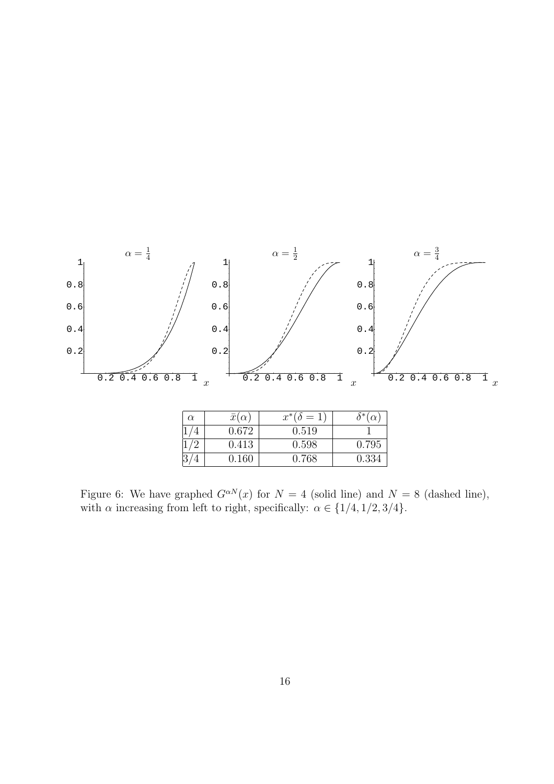

Figure 6: We have graphed  $G^{\alpha N}(x)$  for  $N = 4$  (solid line) and  $N = 8$  (dashed line), with  $\alpha$  increasing from left to right, specifically:  $\alpha \in \{1/4, 1/2, 3/4\}$ .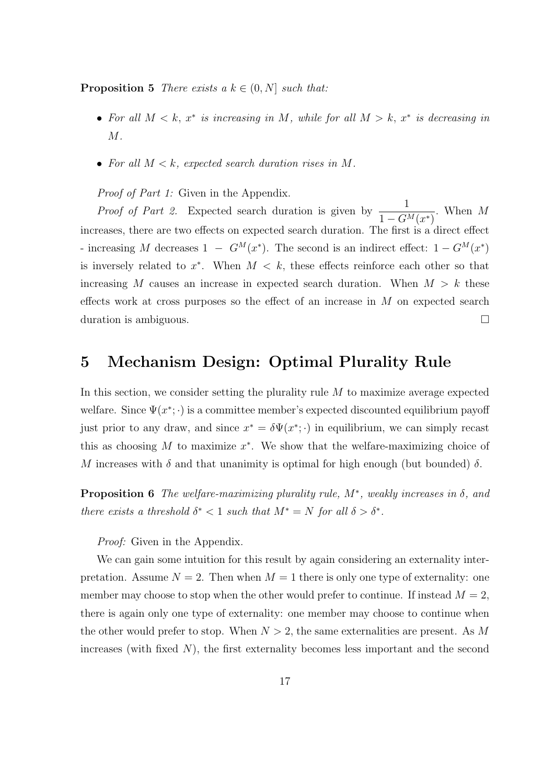**Proposition 5** There exists a  $k \in (0, N]$  such that:

- For all  $M < k$ ,  $x^*$  is increasing in M, while for all  $M > k$ ,  $x^*$  is decreasing in M.
- For all  $M < k$ , expected search duration rises in M.

Proof of Part 1: Given in the Appendix.

*Proof of Part 2.* Expected search duration is given by  $\frac{1}{1-\alpha}$  $1 - G^{M}(x^{*})$ . When M increases, there are two effects on expected search duration. The first is a direct effect - increasing M decreases 1 –  $G^M(x^*)$ . The second is an indirect effect: 1 –  $G^M(x^*)$ is inversely related to  $x^*$ . When  $M < k$ , these effects reinforce each other so that increasing M causes an increase in expected search duration. When  $M > k$  these effects work at cross purposes so the effect of an increase in  $M$  on expected search duration is ambiguous.

# 5 Mechanism Design: Optimal Plurality Rule

In this section, we consider setting the plurality rule  $M$  to maximize average expected welfare. Since  $\Psi(x^*; \cdot)$  is a committee member's expected discounted equilibrium payoff just prior to any draw, and since  $x^* = \delta \Psi(x^*; \cdot)$  in equilibrium, we can simply recast this as choosing  $M$  to maximize  $x^*$ . We show that the welfare-maximizing choice of M increases with  $\delta$  and that unanimity is optimal for high enough (but bounded)  $\delta$ .

**Proposition 6** The welfare-maximizing plurality rule,  $M^*$ , weakly increases in  $\delta$ , and there exists a threshold  $\delta^* < 1$  such that  $M^* = N$  for all  $\delta > \delta^*$ .

Proof: Given in the Appendix.

We can gain some intuition for this result by again considering an externality interpretation. Assume  $N = 2$ . Then when  $M = 1$  there is only one type of externality: one member may choose to stop when the other would prefer to continue. If instead  $M = 2$ , there is again only one type of externality: one member may choose to continue when the other would prefer to stop. When  $N > 2$ , the same externalities are present. As M increases (with fixed  $N$ ), the first externality becomes less important and the second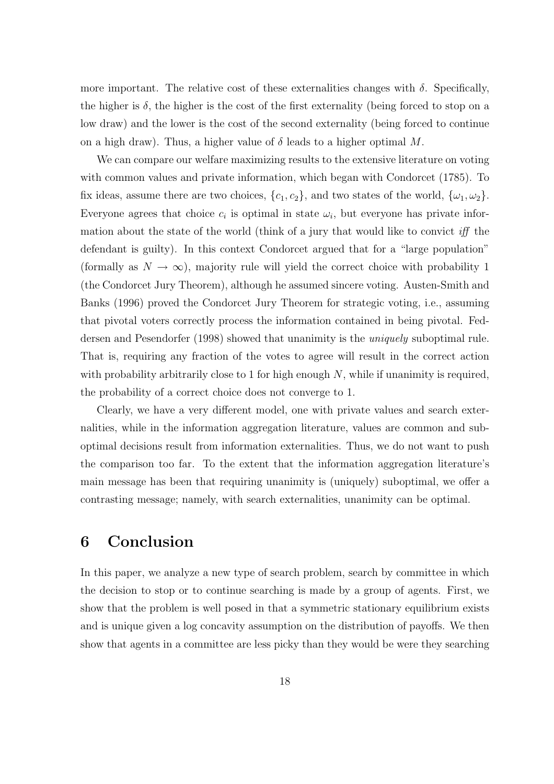more important. The relative cost of these externalities changes with  $\delta$ . Specifically, the higher is  $\delta$ , the higher is the cost of the first externality (being forced to stop on a low draw) and the lower is the cost of the second externality (being forced to continue on a high draw). Thus, a higher value of  $\delta$  leads to a higher optimal M.

We can compare our welfare maximizing results to the extensive literature on voting with common values and private information, which began with Condorcet (1785). To fix ideas, assume there are two choices,  $\{c_1, c_2\}$ , and two states of the world,  $\{\omega_1, \omega_2\}$ . Everyone agrees that choice  $c_i$  is optimal in state  $\omega_i$ , but everyone has private information about the state of the world (think of a jury that would like to convict iff the defendant is guilty). In this context Condorcet argued that for a "large population" (formally as  $N \to \infty$ ), majority rule will yield the correct choice with probability 1 (the Condorcet Jury Theorem), although he assumed sincere voting. Austen-Smith and Banks (1996) proved the Condorcet Jury Theorem for strategic voting, i.e., assuming that pivotal voters correctly process the information contained in being pivotal. Feddersen and Pesendorfer (1998) showed that unanimity is the uniquely suboptimal rule. That is, requiring any fraction of the votes to agree will result in the correct action with probability arbitrarily close to 1 for high enough  $N$ , while if unanimity is required, the probability of a correct choice does not converge to 1.

Clearly, we have a very different model, one with private values and search externalities, while in the information aggregation literature, values are common and suboptimal decisions result from information externalities. Thus, we do not want to push the comparison too far. To the extent that the information aggregation literature's main message has been that requiring unanimity is (uniquely) suboptimal, we offer a contrasting message; namely, with search externalities, unanimity can be optimal.

# 6 Conclusion

In this paper, we analyze a new type of search problem, search by committee in which the decision to stop or to continue searching is made by a group of agents. First, we show that the problem is well posed in that a symmetric stationary equilibrium exists and is unique given a log concavity assumption on the distribution of payoffs. We then show that agents in a committee are less picky than they would be were they searching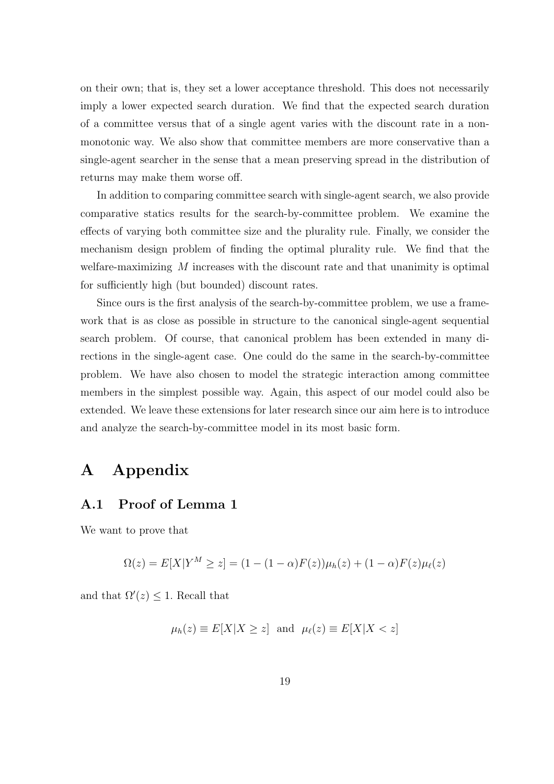on their own; that is, they set a lower acceptance threshold. This does not necessarily imply a lower expected search duration. We find that the expected search duration of a committee versus that of a single agent varies with the discount rate in a nonmonotonic way. We also show that committee members are more conservative than a single-agent searcher in the sense that a mean preserving spread in the distribution of returns may make them worse off.

In addition to comparing committee search with single-agent search, we also provide comparative statics results for the search-by-committee problem. We examine the effects of varying both committee size and the plurality rule. Finally, we consider the mechanism design problem of finding the optimal plurality rule. We find that the welfare-maximizing M increases with the discount rate and that unanimity is optimal for sufficiently high (but bounded) discount rates.

Since ours is the first analysis of the search-by-committee problem, we use a framework that is as close as possible in structure to the canonical single-agent sequential search problem. Of course, that canonical problem has been extended in many directions in the single-agent case. One could do the same in the search-by-committee problem. We have also chosen to model the strategic interaction among committee members in the simplest possible way. Again, this aspect of our model could also be extended. We leave these extensions for later research since our aim here is to introduce and analyze the search-by-committee model in its most basic form.

# A Appendix

### A.1 Proof of Lemma 1

We want to prove that

$$
\Omega(z) = E[X|Y^M \ge z] = (1 - (1 - \alpha)F(z))\mu_h(z) + (1 - \alpha)F(z)\mu_{\ell}(z)
$$

and that  $\Omega'(z) \leq 1$ . Recall that

$$
\mu_h(z) \equiv E[X|X \geq z]
$$
 and  $\mu_{\ell}(z) \equiv E[X|X < z]$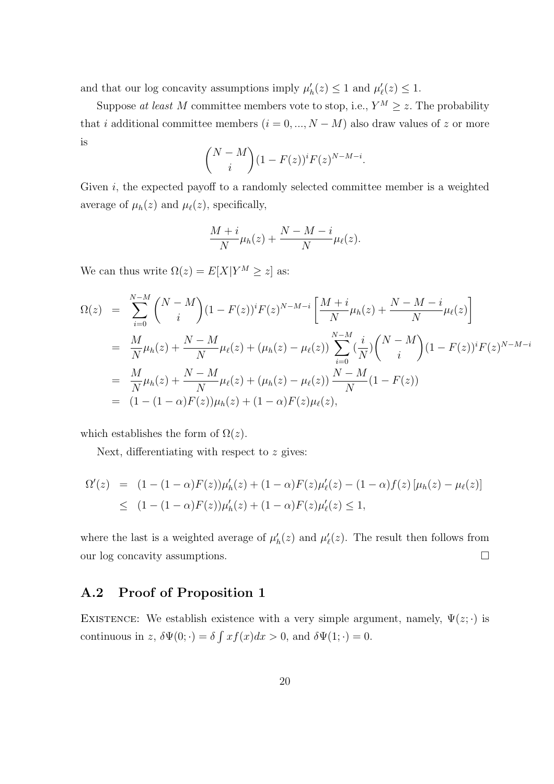and that our log concavity assumptions imply  $\mu'_h(z) \leq 1$  and  $\mu'_\ell(z) \leq 1$ .

Suppose at least M committee members vote to stop, i.e.,  $Y^M \geq z$ . The probability that *i* additional committee members  $(i = 0, ..., N - M)$  also draw values of z or more is  $\overline{a}$  $\mathbf{r}$ 

$$
\binom{N-M}{i}(1-F(z))^i F(z)^{N-M-i}
$$

.

Given  $i$ , the expected payoff to a randomly selected committee member is a weighted average of  $\mu_h(z)$  and  $\mu_\ell(z)$ , specifically,

$$
\frac{M+i}{N}\mu_h(z)+\frac{N-M-i}{N}\mu_{\ell}(z).
$$

We can thus write  $\Omega(z) = E[X|Y^M \geq z]$  as:

$$
\Omega(z) = \sum_{i=0}^{N-M} {N-M \choose i} (1 - F(z))^i F(z)^{N-M-i} \left[ \frac{M+i}{N} \mu_h(z) + \frac{N-M-i}{N} \mu_{\ell}(z) \right]
$$
  
\n
$$
= \frac{M}{N} \mu_h(z) + \frac{N-M}{N} \mu_{\ell}(z) + (\mu_h(z) - \mu_{\ell}(z)) \sum_{i=0}^{N-M} {(\frac{i}{N}) \binom{N-M}{i}} (1 - F(z))^i F(z)^{N-M-i}
$$
  
\n
$$
= \frac{M}{N} \mu_h(z) + \frac{N-M}{N} \mu_{\ell}(z) + (\mu_h(z) - \mu_{\ell}(z)) \frac{N-M}{N} (1 - F(z))
$$
  
\n
$$
= (1 - (1 - \alpha)F(z)) \mu_h(z) + (1 - \alpha)F(z) \mu_{\ell}(z),
$$

which establishes the form of  $\Omega(z)$ .

Next, differentiating with respect to  $z$  gives:

$$
\Omega'(z) = (1 - (1 - \alpha)F(z))\mu'_h(z) + (1 - \alpha)F(z)\mu'_\ell(z) - (1 - \alpha)f(z)[\mu_h(z) - \mu_\ell(z)]
$$
  
 
$$
\leq (1 - (1 - \alpha)F(z))\mu'_h(z) + (1 - \alpha)F(z)\mu'_\ell(z) \leq 1,
$$

where the last is a weighted average of  $\mu'_h(z)$  and  $\mu'_\ell(z)$ . The result then follows from our log concavity assumptions.

## A.2 Proof of Proposition 1

EXISTENCE: We establish existence with a very simple argument, namely,  $\Psi(z; \cdot)$  is continuous in z,  $\delta \Psi(0; \cdot) = \delta$ R  $xf(x)dx > 0$ , and  $\delta\Psi(1;\cdot) = 0$ .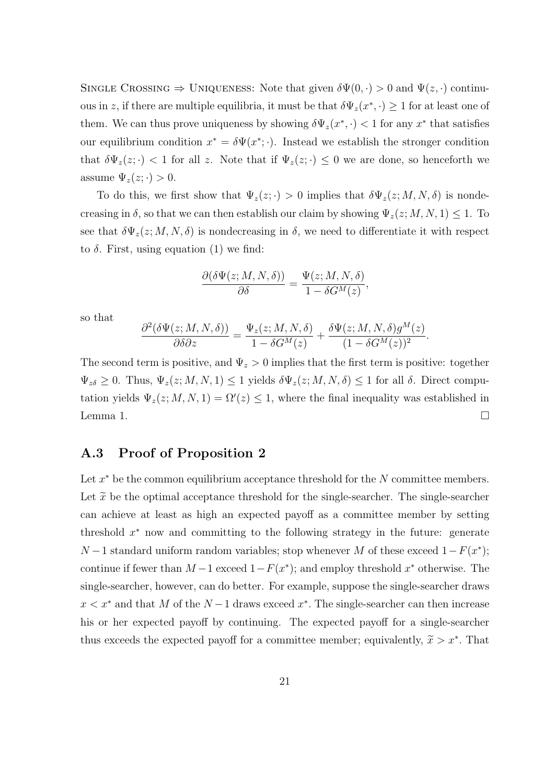SINGLE CROSSING  $\Rightarrow$  UNIQUENESS: Note that given  $\delta\Psi(0, \cdot) > 0$  and  $\Psi(z, \cdot)$  continuous in z, if there are multiple equilibria, it must be that  $\delta \Psi_z(x^*,\cdot) \geq 1$  for at least one of them. We can thus prove uniqueness by showing  $\delta \Psi_z(x^*, \cdot) < 1$  for any  $x^*$  that satisfies our equilibrium condition  $x^* = \delta \Psi(x^*; \cdot)$ . Instead we establish the stronger condition that  $\delta \Psi_z(z; \cdot) < 1$  for all z. Note that if  $\Psi_z(z; \cdot) \leq 0$  we are done, so henceforth we assume  $\Psi_z(z; \cdot) > 0$ .

To do this, we first show that  $\Psi_z(z; \cdot) > 0$  implies that  $\delta \Psi_z(z; M, N, \delta)$  is nondecreasing in  $\delta$ , so that we can then establish our claim by showing  $\Psi_z(z; M, N, 1) \leq 1$ . To see that  $\delta \Psi_z(z; M, N, \delta)$  is nondecreasing in  $\delta$ , we need to differentiate it with respect to  $\delta$ . First, using equation (1) we find:

$$
\frac{\partial (\delta \Psi(z;M,N,\delta))}{\partial \delta} = \frac{\Psi(z;M,N,\delta)}{1 - \delta G^M(z)},
$$

so that

$$
\frac{\partial^2(\delta\Psi(z;M,N,\delta))}{\partial\delta\partial z} = \frac{\Psi_z(z;M,N,\delta)}{1-\delta G^M(z)} + \frac{\delta\Psi(z;M,N,\delta)g^M(z)}{(1-\delta G^M(z))^2}.
$$

The second term is positive, and  $\Psi_z > 0$  implies that the first term is positive: together  $\Psi_{z\delta} \geq 0$ . Thus,  $\Psi_z(z; M, N, 1) \leq 1$  yields  $\delta \Psi_z(z; M, N, \delta) \leq 1$  for all  $\delta$ . Direct computation yields  $\Psi_z(z; M, N, 1) = \Omega'(z) \leq 1$ , where the final inequality was established in Lemma 1.  $\Box$ 

### A.3 Proof of Proposition 2

Let  $x^*$  be the common equilibrium acceptance threshold for the  $N$  committee members. Let  $\tilde{x}$  be the optimal acceptance threshold for the single-searcher. The single-searcher can achieve at least as high an expected payoff as a committee member by setting threshold  $x^*$  now and committing to the following strategy in the future: generate  $N-1$  standard uniform random variables; stop whenever M of these exceed  $1-F(x^*)$ ; continue if fewer than  $M-1$  exceed  $1-F(x^*)$ ; and employ threshold  $x^*$  otherwise. The single-searcher, however, can do better. For example, suppose the single-searcher draws  $x < x^*$  and that M of the  $N-1$  draws exceed  $x^*$ . The single-searcher can then increase his or her expected payoff by continuing. The expected payoff for a single-searcher thus exceeds the expected payoff for a committee member; equivalently,  $\tilde{x} > x^*$ . That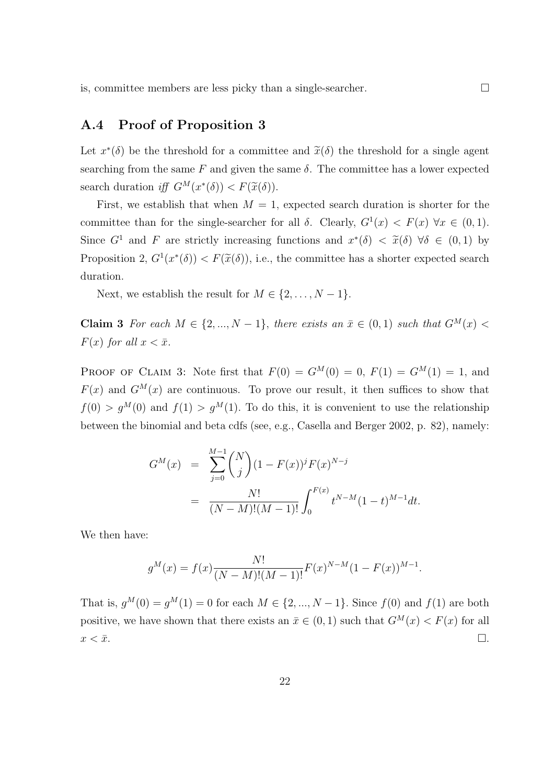is, committee members are less picky than a single-searcher.  $\Box$ 

### A.4 Proof of Proposition 3

Let  $x^*(\delta)$  be the threshold for a committee and  $\tilde{x}(\delta)$  the threshold for a single agent searching from the same F and given the same  $\delta$ . The committee has a lower expected search duration if  $G^M(x^*(\delta)) < F(\tilde{x}(\delta)).$ 

First, we establish that when  $M = 1$ , expected search duration is shorter for the committee than for the single-searcher for all  $\delta$ . Clearly,  $G^1(x) < F(x) \,\forall x \in (0,1)$ . Since  $G^1$  and F are strictly increasing functions and  $x^*(\delta) < \tilde{x}(\delta)$   $\forall \delta \in (0,1)$  by Proposition 2,  $G^1(x^*(\delta)) < F(\tilde{x}(\delta))$ , i.e., the committee has a shorter expected search duration.

Next, we establish the result for  $M \in \{2, \ldots, N-1\}$ .

Claim 3 For each  $M \in \{2, ..., N-1\}$ , there exists an  $\bar{x} \in (0,1)$  such that  $G^M(x)$  $F(x)$  for all  $x < \bar{x}$ .

PROOF OF CLAIM 3: Note first that  $F(0) = G^{M}(0) = 0$ ,  $F(1) = G^{M}(1) = 1$ , and  $F(x)$  and  $G^{M}(x)$  are continuous. To prove our result, it then suffices to show that  $f(0) > g<sup>M</sup>(0)$  and  $f(1) > g<sup>M</sup>(1)$ . To do this, it is convenient to use the relationship between the binomial and beta cdfs (see, e.g., Casella and Berger 2002, p. 82), namely:

$$
G^{M}(x) = \sum_{j=0}^{M-1} {N \choose j} (1 - F(x))^{j} F(x)^{N-j}
$$
  
= 
$$
\frac{N!}{(N-M)!(M-1)!} \int_{0}^{F(x)} t^{N-M} (1-t)^{M-1} dt.
$$

We then have:

$$
g^{M}(x) = f(x) \frac{N!}{(N-M)!(M-1)!} F(x)^{N-M} (1 - F(x))^{M-1}.
$$

That is,  $g^{M}(0) = g^{M}(1) = 0$  for each  $M \in \{2, ..., N-1\}$ . Since  $f(0)$  and  $f(1)$  are both positive, we have shown that there exists an  $\bar{x} \in (0,1)$  such that  $G^M(x) < F(x)$  for all  $x < \bar{x}$ .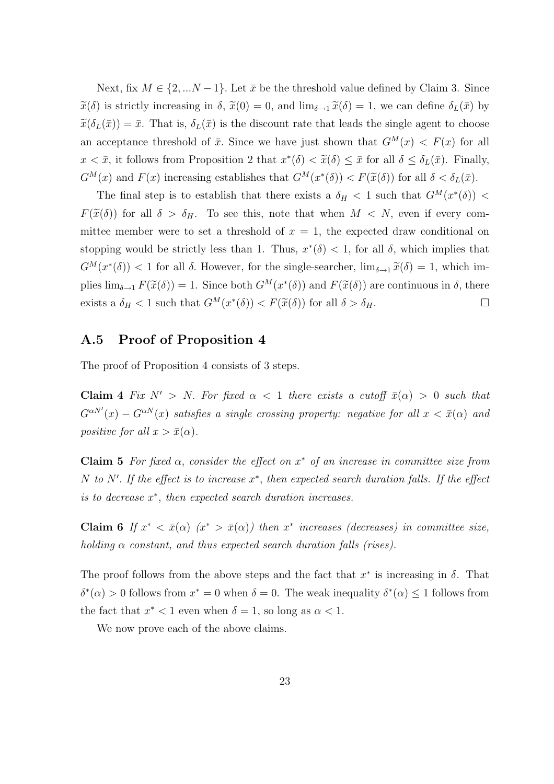Next, fix  $M \in \{2,...N-1\}$ . Let  $\bar{x}$  be the threshold value defined by Claim 3. Since  $\tilde{x}(\delta)$  is strictly increasing in  $\delta$ ,  $\tilde{x}(0) = 0$ , and  $\lim_{\delta \to 1} \tilde{x}(\delta) = 1$ , we can define  $\delta_L(\bar{x})$  by  $\tilde{x}(\delta_L(\bar{x})) = \bar{x}$ . That is,  $\delta_L(\bar{x})$  is the discount rate that leads the single agent to choose an acceptance threshold of  $\bar{x}$ . Since we have just shown that  $G^M(x) < F(x)$  for all  $x < \bar{x}$ , it follows from Proposition 2 that  $x^*(\delta) < \tilde{x}(\delta) \leq \bar{x}$  for all  $\delta \leq \delta_L(\bar{x})$ . Finally,  $G^{M}(x)$  and  $F(x)$  increasing establishes that  $G^{M}(x^{*}(\delta)) < F(\tilde{x}(\delta))$  for all  $\delta < \delta_{L}(\bar{x})$ .

The final step is to establish that there exists a  $\delta_H$  < 1 such that  $G^M(x^*(\delta))$  <  $F(\tilde{x}(\delta))$  for all  $\delta > \delta_H$ . To see this, note that when  $M < N$ , even if every committee member were to set a threshold of  $x = 1$ , the expected draw conditional on stopping would be strictly less than 1. Thus,  $x^*(\delta) < 1$ , for all  $\delta$ , which implies that  $G^{M}(x^{*}(\delta))$  < 1 for all  $\delta$ . However, for the single-searcher,  $\lim_{\delta \to 1} \tilde{x}(\delta) = 1$ , which implies  $\lim_{\delta \to 1} F(\tilde{x}(\delta)) = 1$ . Since both  $G^M(x^*(\delta))$  and  $F(\tilde{x}(\delta))$  are continuous in  $\delta$ , there exists a  $\delta_H < 1$  such that  $G^M(x^*(\delta)) < F(\tilde{x}(\delta))$  for all  $\delta > \delta_H$ .

### A.5 Proof of Proposition 4

The proof of Proposition 4 consists of 3 steps.

Claim 4 Fix  $N' > N$ . For fixed  $\alpha < 1$  there exists a cutoff  $\bar{x}(\alpha) > 0$  such that  $G^{\alpha N'}(x) - G^{\alpha N}(x)$  satisfies a single crossing property: negative for all  $x < \bar{x}(\alpha)$  and positive for all  $x > \bar{x}(\alpha)$ .

Claim 5 For fixed  $\alpha$ , consider the effect on  $x^*$  of an increase in committee size from N to N'. If the effect is to increase  $x^*$ , then expected search duration falls. If the effect is to decrease  $x^*$ , then expected search duration increases.

Claim 6 If  $x^* < \bar{x}(\alpha)$   $(x^* > \bar{x}(\alpha))$  then  $x^*$  increases (decreases) in committee size, holding  $\alpha$  constant, and thus expected search duration falls (rises).

The proof follows from the above steps and the fact that  $x^*$  is increasing in  $\delta$ . That  $\delta^*(\alpha) > 0$  follows from  $x^* = 0$  when  $\delta = 0$ . The weak inequality  $\delta^*(\alpha) \leq 1$  follows from the fact that  $x^* < 1$  even when  $\delta = 1$ , so long as  $\alpha < 1$ .

We now prove each of the above claims.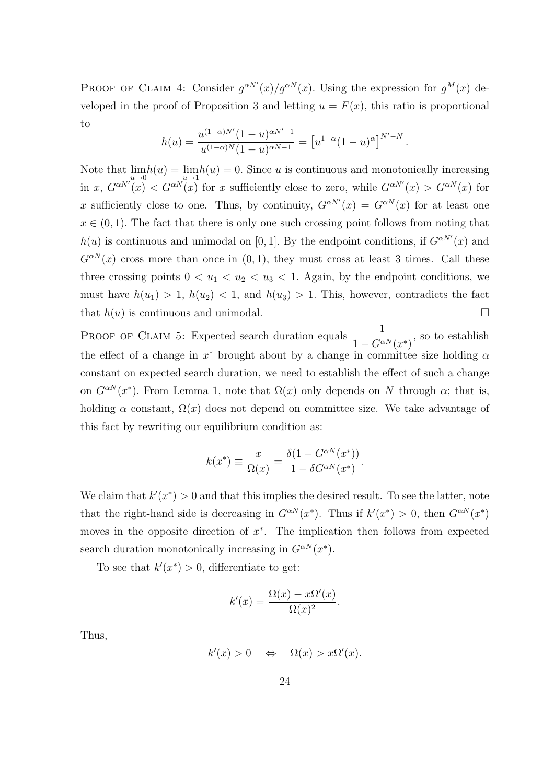PROOF OF CLAIM 4: Consider  $g^{\alpha N'}(x)/g^{\alpha N}(x)$ . Using the expression for  $g^M(x)$  developed in the proof of Proposition 3 and letting  $u = F(x)$ , this ratio is proportional to

$$
h(u) = \frac{u^{(1-\alpha)N'}(1-u)^{\alpha N'-1}}{u^{(1-\alpha)N}(1-u)^{\alpha N-1}} = \left[u^{1-\alpha}(1-u)^{\alpha}\right]^{N'-N}.
$$

Note that  $\lim_{u\to 0} h(u) = \lim_{u\to 1} h(u) = 0$ . Since u is continuous and monotonically increasing in x,  $G^{\alpha N'}(x) < G^{\alpha N}(x)$  for x sufficiently close to zero, while  $G^{\alpha N'}(x) > G^{\alpha N}(x)$  for x sufficiently close to one. Thus, by continuity,  $G^{\alpha N'}(x) = G^{\alpha N}(x)$  for at least one  $x \in (0, 1)$ . The fact that there is only one such crossing point follows from noting that  $h(u)$  is continuous and unimodal on [0, 1]. By the endpoint conditions, if  $G^{\alpha N'}(x)$  and  $G^{\alpha N}(x)$  cross more than once in  $(0, 1)$ , they must cross at least 3 times. Call these three crossing points  $0 < u_1 < u_2 < u_3 < 1$ . Again, by the endpoint conditions, we must have  $h(u_1) > 1$ ,  $h(u_2) < 1$ , and  $h(u_3) > 1$ . This, however, contradicts the fact that  $h(u)$  is continuous and unimodal.

**PROOF OF CLAIM 5: Expected search duration equals**  $\frac{1}{1-\alpha}$  $1 - G^{\alpha N}(x^*)$ , so to establish the effect of a change in  $x^*$  brought about by a change in committee size holding  $\alpha$ constant on expected search duration, we need to establish the effect of such a change on  $G^{\alpha N}(x^*)$ . From Lemma 1, note that  $\Omega(x)$  only depends on N through  $\alpha$ ; that is, holding  $\alpha$  constant,  $\Omega(x)$  does not depend on committee size. We take advantage of this fact by rewriting our equilibrium condition as:

$$
k(x^*) \equiv \frac{x}{\Omega(x)} = \frac{\delta(1 - G^{\alpha N}(x^*))}{1 - \delta G^{\alpha N}(x^*)}.
$$

We claim that  $k'(x^*) > 0$  and that this implies the desired result. To see the latter, note that the right-hand side is decreasing in  $G^{\alpha N}(x^*)$ . Thus if  $k'(x^*) > 0$ , then  $G^{\alpha N}(x^*)$ moves in the opposite direction of  $x^*$ . The implication then follows from expected search duration monotonically increasing in  $G^{\alpha N}(x^*)$ .

To see that  $k'(x^*) > 0$ , differentiate to get:

$$
k'(x) = \frac{\Omega(x) - x\Omega'(x)}{\Omega(x)^2}.
$$

Thus,

$$
k'(x) > 0 \quad \Leftrightarrow \quad \Omega(x) > x\Omega'(x).
$$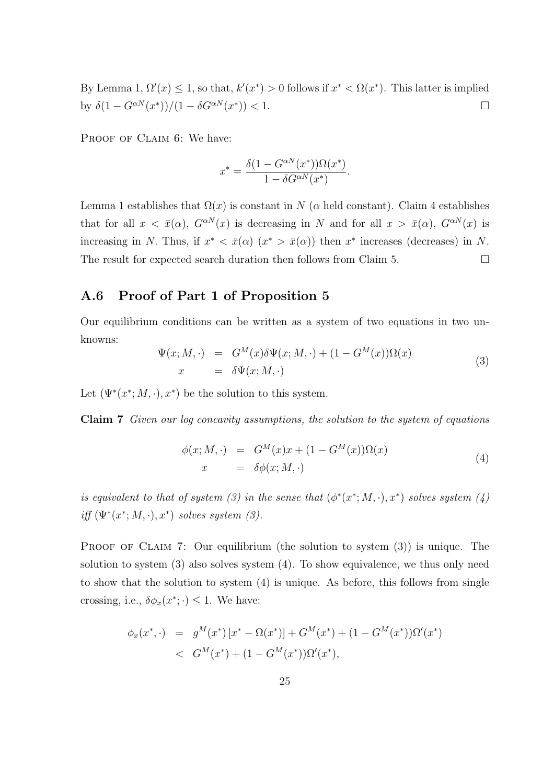By Lemma 1,  $\Omega'(x) \leq 1$ , so that,  $k'(x^*) > 0$  follows if  $x^* < \Omega(x^*)$ . This latter is implied by  $\delta(1 - G^{\alpha N}(x^*))/(1 - \delta G^{\alpha N}(x^*)) < 1$ .

PROOF OF CLAIM 6: We have:

$$
x^* = \frac{\delta(1 - G^{\alpha N}(x^*))\Omega(x^*)}{1 - \delta G^{\alpha N}(x^*)}.
$$

Lemma 1 establishes that  $\Omega(x)$  is constant in N ( $\alpha$  held constant). Claim 4 establishes that for all  $x < \bar{x}(\alpha)$ ,  $G^{\alpha N}(x)$  is decreasing in N and for all  $x > \bar{x}(\alpha)$ ,  $G^{\alpha N}(x)$  is increasing in N. Thus, if  $x^* < \bar{x}(\alpha)$   $(x^* > \bar{x}(\alpha))$  then  $x^*$  increases (decreases) in N. The result for expected search duration then follows from Claim 5.  $\Box$ 

#### A.6 Proof of Part 1 of Proposition 5

Our equilibrium conditions can be written as a system of two equations in two unknowns:

$$
\Psi(x; M, \cdot) = G^{M}(x)\delta\Psi(x; M, \cdot) + (1 - G^{M}(x))\Omega(x)
$$
\n
$$
x = \delta\Psi(x; M, \cdot) \tag{3}
$$

Let  $(\Psi^*(x^*; M, \cdot), x^*)$  be the solution to this system.

Claim 7 Given our log concavity assumptions, the solution to the system of equations

$$
\begin{array}{rcl}\n\phi(x;M,\cdot) & = & G^M(x)x + (1 - G^M(x))\Omega(x) \\
x & = & \delta\phi(x;M,\cdot)\n\end{array} \tag{4}
$$

is equivalent to that of system (3) in the sense that  $(\phi^*(x^*; M, \cdot), x^*)$  solves system (4) iff  $(\Psi^*(x^*; M, \cdot), x^*)$  solves system (3).

PROOF OF CLAIM 7: Our equilibrium (the solution to system  $(3)$ ) is unique. The solution to system (3) also solves system (4). To show equivalence, we thus only need to show that the solution to system (4) is unique. As before, this follows from single crossing, i.e.,  $\delta \phi_x(x^*; \cdot) \leq 1$ . We have:

$$
\begin{array}{rcl}\n\phi_x(x^*, \cdot) & = & g^M(x^*) \left[ x^* - \Omega(x^*) \right] + G^M(x^*) + (1 - G^M(x^*)) \Omega'(x^*) \\
& < & G^M(x^*) + (1 - G^M(x^*)) \Omega'(x^*),\n\end{array}
$$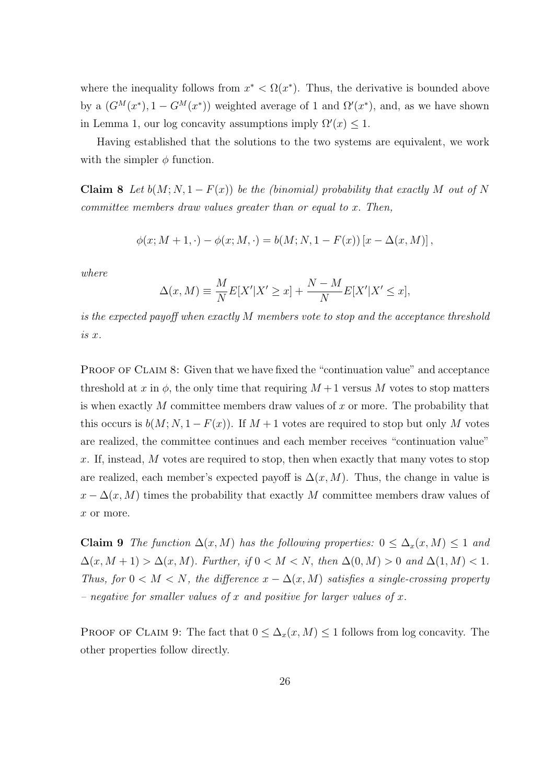where the inequality follows from  $x^* < \Omega(x^*)$ . Thus, the derivative is bounded above by a  $(G^M(x^*), 1 - G^M(x^*))$  weighted average of 1 and  $\Omega'(x^*)$ , and, as we have shown in Lemma 1, our log concavity assumptions imply  $\Omega'(x) \leq 1$ .

Having established that the solutions to the two systems are equivalent, we work with the simpler  $\phi$  function.

Claim 8 Let  $b(M; N, 1 - F(x))$  be the (binomial) probability that exactly M out of N committee members draw values greater than or equal to x. Then,

$$
\phi(x; M + 1, \cdot) - \phi(x; M, \cdot) = b(M; N, 1 - F(x)) [x - \Delta(x, M)],
$$

where

$$
\Delta(x, M) \equiv \frac{M}{N} E[X'|X' \ge x] + \frac{N - M}{N} E[X'|X' \le x],
$$

is the expected payoff when exactly M members vote to stop and the acceptance threshold is x.

PROOF OF CLAIM 8: Given that we have fixed the "continuation value" and acceptance threshold at x in  $\phi$ , the only time that requiring  $M+1$  versus M votes to stop matters is when exactly  $M$  committee members draw values of  $x$  or more. The probability that this occurs is  $b(M; N, 1 - F(x))$ . If  $M + 1$  votes are required to stop but only M votes are realized, the committee continues and each member receives "continuation value" x. If, instead,  $M$  votes are required to stop, then when exactly that many votes to stop are realized, each member's expected payoff is  $\Delta(x, M)$ . Thus, the change in value is  $x - \Delta(x, M)$  times the probability that exactly M committee members draw values of x or more.

Claim 9 The function  $\Delta(x, M)$  has the following properties:  $0 \leq \Delta_x(x, M) \leq 1$  and  $\Delta(x, M + 1) > \Delta(x, M)$ . Further, if  $0 < M < N$ , then  $\Delta(0, M) > 0$  and  $\Delta(1, M) < 1$ . Thus, for  $0 < M < N$ , the difference  $x - \Delta(x, M)$  satisfies a single-crossing property – negative for smaller values of x and positive for larger values of x.

PROOF OF CLAIM 9: The fact that  $0 \leq \Delta_x(x, M) \leq 1$  follows from log concavity. The other properties follow directly.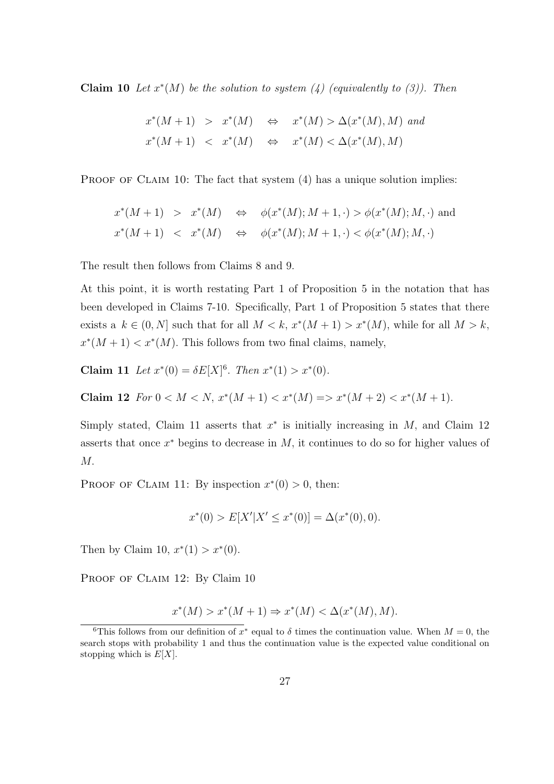**Claim 10** Let  $x^*(M)$  be the solution to system (4) (equivalently to (3)). Then

$$
x^*(M+1) > x^*(M) \Leftrightarrow x^*(M) > \Delta(x^*(M), M) \text{ and}
$$
  

$$
x^*(M+1) < x^*(M) \Leftrightarrow x^*(M) < \Delta(x^*(M), M)
$$

PROOF OF CLAIM 10: The fact that system (4) has a unique solution implies:

$$
x^*(M+1) > x^*(M) \Leftrightarrow \phi(x^*(M); M+1, \cdot) > \phi(x^*(M); M, \cdot) \text{ and}
$$
  

$$
x^*(M+1) < x^*(M) \Leftrightarrow \phi(x^*(M); M+1, \cdot) < \phi(x^*(M); M, \cdot)
$$

The result then follows from Claims 8 and 9.

At this point, it is worth restating Part 1 of Proposition 5 in the notation that has been developed in Claims 7-10. Specifically, Part 1 of Proposition 5 states that there exists a  $k \in (0, N]$  such that for all  $M < k$ ,  $x^*(M + 1) > x^*(M)$ , while for all  $M > k$ ,  $x^*(M + 1) < x^*(M)$ . This follows from two final claims, namely,

Claim 11 Let  $x^*(0) = \delta E[X]^{6}$ . Then  $x^*(1) > x^*(0)$ .

Claim 12  $For\ 0 < M < N$ ,  $x^*(M + 1) < x^*(M) \implies x^*(M + 2) < x^*(M + 1)$ .

Simply stated, Claim 11 asserts that  $x^*$  is initially increasing in M, and Claim 12 asserts that once  $x^*$  begins to decrease in  $M$ , it continues to do so for higher values of M.

PROOF OF CLAIM 11: By inspection  $x^*(0) > 0$ , then:

$$
x^*(0) > E[X'|X' \le x^*(0)] = \Delta(x^*(0), 0).
$$

Then by Claim 10,  $x^*(1) > x^*(0)$ .

PROOF OF CLAIM 12: By Claim 10

$$
x^*(M) > x^*(M+1) \Rightarrow x^*(M) < \Delta(x^*(M), M).
$$

<sup>&</sup>lt;sup>6</sup>This follows from our definition of  $x^*$  equal to  $\delta$  times the continuation value. When  $M = 0$ , the search stops with probability 1 and thus the continuation value is the expected value conditional on stopping which is  $E[X]$ .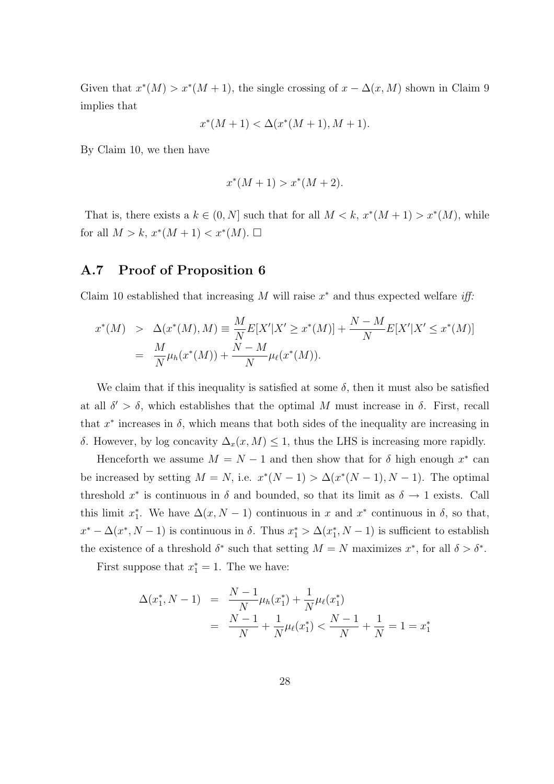Given that  $x^*(M) > x^*(M+1)$ , the single crossing of  $x - \Delta(x, M)$  shown in Claim 9 implies that

$$
x^*(M+1) < \Delta(x^*(M+1), M+1).
$$

By Claim 10, we then have

$$
x^*(M+1) > x^*(M+2).
$$

That is, there exists a  $k \in (0, N]$  such that for all  $M < k$ ,  $x^*(M + 1) > x^*(M)$ , while for all  $M > k$ ,  $x^*(M + 1) < x^*(M)$ .  $\square$ 

### A.7 Proof of Proposition 6

Claim 10 established that increasing M will raise  $x^*$  and thus expected welfare iff:

$$
x^*(M) > \Delta(x^*(M), M) \equiv \frac{M}{N} E[X'|X' \ge x^*(M)] + \frac{N-M}{N} E[X'|X' \le x^*(M)]
$$
  
= 
$$
\frac{M}{N} \mu_h(x^*(M)) + \frac{N-M}{N} \mu_\ell(x^*(M)).
$$

We claim that if this inequality is satisfied at some  $\delta$ , then it must also be satisfied at all  $\delta' > \delta$ , which establishes that the optimal M must increase in  $\delta$ . First, recall that  $x^*$  increases in  $\delta$ , which means that both sides of the inequality are increasing in δ. However, by log concavity  $\Delta_x(x, M) \leq 1$ , thus the LHS is increasing more rapidly.

Henceforth we assume  $M = N - 1$  and then show that for  $\delta$  high enough  $x^*$  can be increased by setting  $M = N$ , i.e.  $x^*(N-1) > \Delta(x^*(N-1), N-1)$ . The optimal threshold  $x^*$  is continuous in  $\delta$  and bounded, so that its limit as  $\delta \to 1$  exists. Call this limit  $x_1^*$ . We have  $\Delta(x, N-1)$  continuous in x and  $x^*$  continuous in  $\delta$ , so that,  $x^* - \Delta(x^*, N-1)$  is continuous in  $\delta$ . Thus  $x_1^* > \Delta(x_1^*, N-1)$  is sufficient to establish the existence of a threshold  $\delta^*$  such that setting  $M = N$  maximizes  $x^*$ , for all  $\delta > \delta^*$ .

First suppose that  $x_1^* = 1$ . The we have:

$$
\Delta(x_1^*, N - 1) = \frac{N - 1}{N} \mu_h(x_1^*) + \frac{1}{N} \mu_\ell(x_1^*)
$$
  
= 
$$
\frac{N - 1}{N} + \frac{1}{N} \mu_\ell(x_1^*) < \frac{N - 1}{N} + \frac{1}{N} = 1 = x_1^*
$$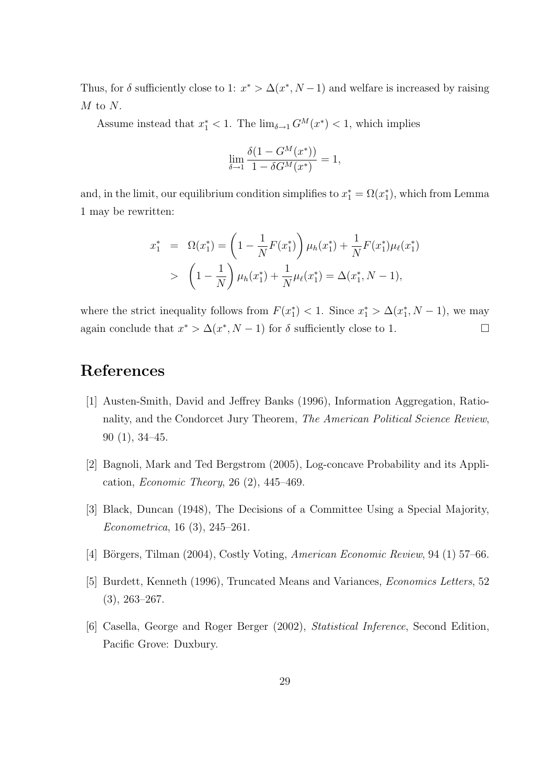Thus, for  $\delta$  sufficiently close to 1:  $x^* > \Delta(x^*, N-1)$  and welfare is increased by raising  $M$  to  $N$ .

Assume instead that  $x_1^* < 1$ . The  $\lim_{\delta \to 1} G^M(x^*) < 1$ , which implies

$$
\lim_{\delta \to 1} \frac{\delta(1 - G^M(x^*))}{1 - \delta G^M(x^*)} = 1,
$$

and, in the limit, our equilibrium condition simplifies to  $x_1^* = \Omega(x_1^*)$ , which from Lemma 1 may be rewritten:

$$
x_1^* = \Omega(x_1^*) = \left(1 - \frac{1}{N}F(x_1^*)\right)\mu_h(x_1^*) + \frac{1}{N}F(x_1^*)\mu_{\ell}(x_1^*)
$$
  
> 
$$
\left(1 - \frac{1}{N}\right)\mu_h(x_1^*) + \frac{1}{N}\mu_{\ell}(x_1^*) = \Delta(x_1^*, N - 1),
$$

where the strict inequality follows from  $F(x_1^*) < 1$ . Since  $x_1^* > \Delta(x_1^*, N - 1)$ , we may again conclude that  $x^* > \Delta(x^*, N - 1)$  for  $\delta$  sufficiently close to 1.

# References

- [1] Austen-Smith, David and Jeffrey Banks (1996), Information Aggregation, Rationality, and the Condorcet Jury Theorem, The American Political Science Review, 90 (1), 34–45.
- [2] Bagnoli, Mark and Ted Bergstrom (2005), Log-concave Probability and its Application, Economic Theory, 26 (2), 445–469.
- [3] Black, Duncan (1948), The Decisions of a Committee Using a Special Majority, Econometrica, 16 (3), 245–261.
- [4] Börgers, Tilman (2004), Costly Voting, American Economic Review, 94 (1) 57–66.
- [5] Burdett, Kenneth (1996), Truncated Means and Variances, Economics Letters, 52 (3), 263–267.
- [6] Casella, George and Roger Berger (2002), Statistical Inference, Second Edition, Pacific Grove: Duxbury.